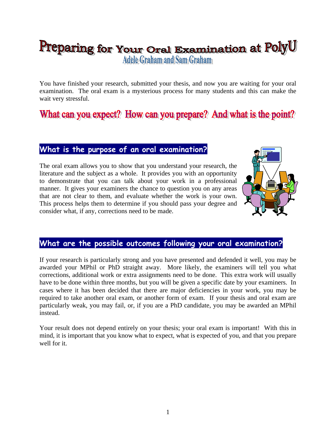# Preparing for Your Oral Examination at PolyU Adele Graham and Sam Graham

You have finished your research, submitted your thesis, and now you are waiting for your oral examination. The oral exam is a mysterious process for many students and this can make the wait very stressful.

# **What is the purpose of an oral examination?**

The oral exam allows you to show that you understand your research, the literature and the subject as a whole. It provides you with an opportunity to demonstrate that you can talk about your work in a professional manner. It gives your examiners the chance to question you on any areas that are not clear to them, and evaluate whether the work is your own. This process helps them to determine if you should pass your degree and consider what, if any, corrections need to be made.



# **What are the possible outcomes following your oral examination?**

If your research is particularly strong and you have presented and defended it well, you may be awarded your MPhil or PhD straight away. More likely, the examiners will tell you what corrections, additional work or extra assignments need to be done. This extra work will usually have to be done within three months, but you will be given a specific date by your examiners. In cases where it has been decided that there are major deficiencies in your work, you may be required to take another oral exam, or another form of exam. If your thesis and oral exam are particularly weak, you may fail, or, if you are a PhD candidate, you may be awarded an MPhil instead.

Your result does not depend entirely on your thesis; your oral exam is important! With this in mind, it is important that you know what to expect, what is expected of you, and that you prepare well for it.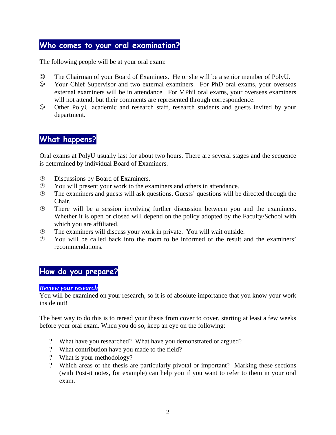# **Who comes to your oral examination?**

The following people will be at your oral exam:

- ☺ The Chairman of your Board of Examiners. He or she will be a senior member of PolyU.
- ☺ Your Chief Supervisor and two external examiners. For PhD oral exams, your overseas external examiners will be in attendance. For MPhil oral exams, your overseas examiners will not attend, but their comments are represented through correspondence.
- ☺ Other PolyU academic and research staff, research students and guests invited by your department.

# **What happens?**

Oral exams at PolyU usually last for about two hours. There are several stages and the sequence is determined by individual Board of Examiners.

- Discussions by Board of Examiners.
- $\Theta$  You will present your work to the examiners and others in attendance.
- $\Theta$  The examiners and guests will ask questions. Guests' questions will be directed through the Chair.
- There will be a session involving further discussion between you and the examiners. Whether it is open or closed will depend on the policy adopted by the Faculty/School with which you are affiliated.
- The examiners will discuss your work in private. You will wait outside.
- $\odot$  You will be called back into the room to be informed of the result and the examiners' recommendations.

# **How do you prepare?**

#### *Review your research*

You will be examined on your research, so it is of absolute importance that you know your work inside out!

The best way to do this is to reread your thesis from cover to cover, starting at least a few weeks before your oral exam. When you do so, keep an eye on the following:

- ? What have you researched? What have you demonstrated or argued?
- ? What contribution have you made to the field?
- ? What is your methodology?
- ? Which areas of the thesis are particularly pivotal or important? Marking these sections (with Post-it notes, for example) can help you if you want to refer to them in your oral exam.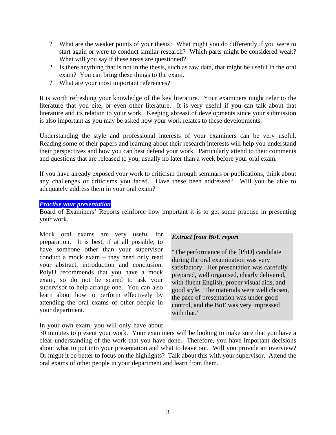- ? What are the weaker points of your thesis? What might you do differently if you were to start again or were to conduct similar research? Which parts might be considered weak? What will you say if these areas are questioned?
- ? Is there anything that is not in the thesis, such as raw data, that might be useful in the oral exam? You can bring these things to the exam.
- ? What are your most important references?

It is worth refreshing your knowledge of the key literature. Your examiners might refer to the literature that you cite, or even other literature. It is very useful if you can talk about that literature and its relation to your work. Keeping abreast of developments since your submission is also important as you may be asked how your work relates to these developments.

Understanding the style and professional interests of your examiners can be very useful. Reading some of their papers and learning about their research interests will help you understand their perspectives and how you can best defend your work. Particularly attend to their comments and questions that are released to you, usually no later than a week before your oral exam.

If you have already exposed your work to criticism through seminars or publications, think about any challenges or criticisms you faced. Have these been addressed? Will you be able to adequately address them in your oral exam?

#### *Practise your presentation*

Board of Examiners' Reports reinforce how important it is to get some practise in presenting your work.

Mock oral exams are very useful for preparation. It is best, if at all possible, to have someone other than your supervisor conduct a mock exam – they need only read your abstract, introduction and conclusion. PolyU recommends that you have a mock exam, so do not be scared to ask your supervisor to help arrange one. You can also learn about how to perform effectively by attending the oral exams of other people in your department.

#### *Extract from BoE report*

"The performance of the [PhD] candidate during the oral examination was very satisfactory. Her presentation was carefully prepared, well organised, clearly delivered, with fluent English, proper visual aids, and good style. The materials were well chosen, the pace of presentation was under good control, and the BoE was very impressed with that."

In your own exam, you will only have about

30 minutes to present your work. Your examiners will be looking to make sure that you have a clear understanding of the work that you have done. Therefore, you have important decisions about what to put into your presentation and what to leave out. Will you provide an overview? Or might it be better to focus on the highlights? Talk about this with your supervisor. Attend the oral exams of other people in your department and learn from them.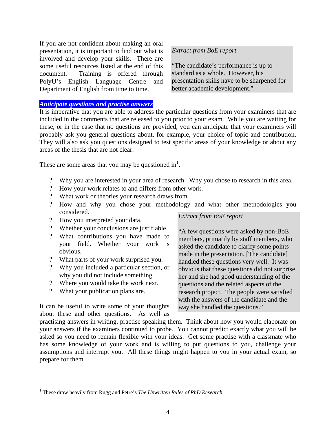If you are not confident about making an oral presentation, it is important to find out what is involved and develop your skills. There are some useful resources listed at the end of this document. Training is offered through PolyU's English Language Centre and Department of English from time to time.

#### *Anticipate questions and practise answers*

*Extract from BoE report*

"The candidate's performance is up to standard as a whole. However, his presentation skills have to be sharpened for better academic development."

It is imperative that you are able to address the particular questions from your examiners that are included in the comments that are released to you prior to your exam. While you are waiting for these, or in the case that no questions are provided, you can anticipate that your examiners will probably ask you general questions about, for example, your choice of topic and contribution. They will also ask you questions designed to test specific areas of your knowledge or about any areas of the thesis that are not clear.

These are some areas that you may be questioned in<sup>1</sup>.

- ? Why you are interested in your area of research. Why you chose to research in this area.
- ? How your work relates to and differs from other work.
- ? What work or theories your research draws from.
- ? How and why you chose your methodology and what other methodologies you considered. *Extract from BoE report*
- ? How you interpreted your data.

### ? Whether your conclusions are justifiable.

- ? What contributions you have made to your field. Whether your work is obvious.
- ? What parts of your work surprised you.
- ? Why you included a particular section, or why you did not include something.
- ? Where you would take the work next.
- ? What your publication plans are.

1

It can be useful to write some of your thoughts about these and other questions. As well as

"A few questions were asked by non-BoE members, primarily by staff members, who asked the candidate to clarify some points made in the presentation. [The candidate] handled these questions very well. It was obvious that these questions did not surprise her and she had good understanding of the questions and the related aspects of the research project. The people were satisfied with the answers of the candidate and the way she handled the questions."

practising answers in writing, practise speaking them. Think about how you would elaborate on your answers if the examiners continued to probe. You cannot predict exactly what you will be asked so you need to remain flexible with your ideas. Get some practise with a classmate who has some knowledge of your work and is willing to put questions to you, challenge your assumptions and interrupt you. All these things might happen to you in your actual exam, so prepare for them.

<sup>&</sup>lt;sup>1</sup> These draw heavily from Rugg and Petre's *The Unwritten Rules of PhD Research*.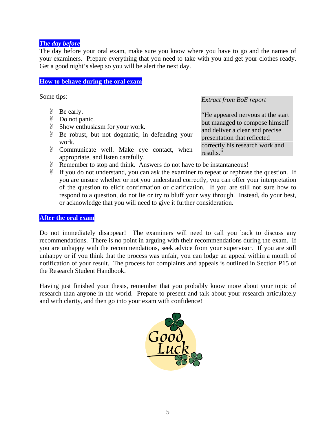#### *The day before*

The day before your oral exam, make sure you know where you have to go and the names of your examiners. Prepare everything that you need to take with you and get your clothes ready. Get a good night's sleep so you will be alert the next day.

#### **How to behave during the oral exam**

Some tips:

- \$ Be early.
- \$ Do not panic.
- \$ Show enthusiasm for your work.
- \$ Be robust, but not dogmatic, in defending your work.
- \$ Communicate well. Make eye contact, when appropriate, and listen carefully.

*Extract from BoE report* 

"He appeared nervous at the start but managed to compose himself and deliver a clear and precise presentation that reflected correctly his research work and results."

- \$ Remember to stop and think. Answers do not have to be instantaneous!
- $\mathscr Y$  If you do not understand, you can ask the examiner to repeat or rephrase the question. If you are unsure whether or not you understand correctly, you can offer your interpretation of the question to elicit confirmation or clarification. If you are still not sure how to respond to a question, do not lie or try to bluff your way through. Instead, do your best, or acknowledge that you will need to give it further consideration.

#### **After the oral exam**

Do not immediately disappear! The examiners will need to call you back to discuss any recommendations. There is no point in arguing with their recommendations during the exam. If you are unhappy with the recommendations, seek advice from your supervisor. If you are still unhappy or if you think that the process was unfair, you can lodge an appeal within a month of notification of your result. The process for complaints and appeals is outlined in Section P15 of the Research Student Handbook.

Having just finished your thesis, remember that you probably know more about your topic of research than anyone in the world. Prepare to present and talk about your research articulately and with clarity, and then go into your exam with confidence!